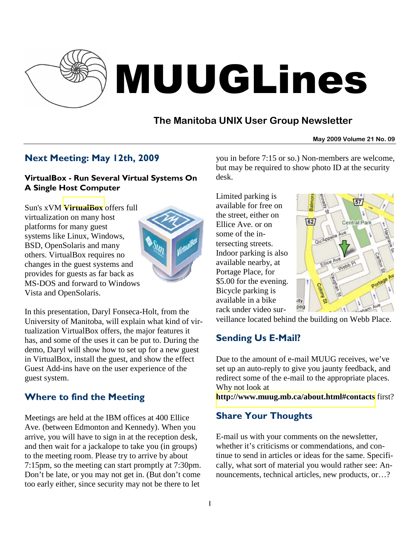

# MUUGLines

# **The Manitoba UNIX User Group Newsletter**

**May 2009 Volume 21 No. 09**

## Next Meeting: May 12th, 2009

## VirtualBox - Run Several Virtual Systems On A Single Host Computer

Sun's xVM **[VirtualBox](http://www.virtualbox.org/)** offers full virtualization on many host platforms for many guest systems like Linux, Windows, BSD, OpenSolaris and many others. VirtualBox requires no changes in the guest systems and provides for guests as far back as MS-DOS and forward to Windows Vista and OpenSolaris.



In this presentation, Daryl Fonseca-Holt, from the University of Manitoba, will explain what kind of virtualization VirtualBox offers, the major features it has, and some of the uses it can be put to. During the demo, Daryl will show how to set up for a new guest in VirtualBox, install the guest, and show the effect Guest Add-ins have on the user experience of the guest system.

# Where to find the Meeting

Meetings are held at the IBM offices at 400 Ellice Ave. (between Edmonton and Kennedy). When you arrive, you will have to sign in at the reception desk, and then wait for a jackalope to take you (in groups) to the meeting room. Please try to arrive by about 7:15pm, so the meeting can start promptly at 7:30pm. Don't be late, or you may not get in. (But don't come too early either, since security may not be there to let

you in before 7:15 or so.) Non-members are welcome, but may be required to show photo ID at the security desk.

Limited parking is available for free on the street, either on Ellice Ave. or on some of the intersecting streets. Indoor parking is also available nearby, at Portage Place, for \$5.00 for the evening. Bicycle parking is available in a bike rack under video sur-



veillance located behind the building on Webb Place.

# Sending Us E-Mail?

Due to the amount of e-mail MUUG receives, we've set up an auto-reply to give you jaunty feedback, and redirect some of the e-mail to the appropriate places. Why not look at

**[http://www.muug.mb.ca/about.html#contacts](http://www.muug.mb.ca/about.html%23contacts)** first?

# Share Your Thoughts

E-mail us with your comments on the newsletter, whether it's criticisms or commendations, and continue to send in articles or ideas for the same. Specifically, what sort of material you would rather see: Announcements, technical articles, new products, or…?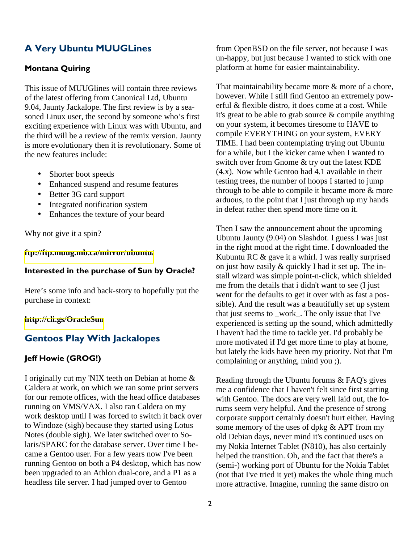## A Very Ubuntu MUUGLines

#### Montana Quiring

This issue of MUUGlines will contain three reviews of the latest offering from Canonical Ltd, Ubuntu 9.04, Jaunty Jackalope. The first review is by a seasoned Linux user, the second by someone who's first exciting experience with Linux was with Ubuntu, and the third will be a review of the remix version. Jaunty is more evolutionary then it is revolutionary. Some of the new features include:

- Shorter boot speeds
- Enhanced suspend and resume features
- Better 3G card support
- Integrated notification system
- Enhances the texture of your beard

Why not give it a spin?

#### **<ftp://ftp.muug.mb.ca/mirror/ubuntu/>**

#### Interested in the purchase of Sun by Oracle?

Here's some info and back-story to hopefully put the purchase in context:

#### **<http://cli.gs/OracleSun>**

## Gentoos Play With Jackalopes

#### Jeff Howie (GROG!)

I originally cut my 'NIX teeth on Debian at home & Caldera at work, on which we ran some print servers for our remote offices, with the head office databases running on VMS/VAX. I also ran Caldera on my work desktop until I was forced to switch it back over to Windoze (sigh) because they started using Lotus Notes (double sigh). We later switched over to Solaris/SPARC for the database server. Over time I became a Gentoo user. For a few years now I've been running Gentoo on both a P4 desktop, which has now been upgraded to an Athlon dual-core, and a P1 as a headless file server. I had jumped over to Gentoo

from OpenBSD on the file server, not because I was un-happy, but just because I wanted to stick with one platform at home for easier maintainability.

That maintainability became more & more of a chore, however. While I still find Gentoo an extremely powerful & flexible distro, it does come at a cost. While it's great to be able to grab source & compile anything on your system, it becomes tiresome to HAVE to compile EVERYTHING on your system, EVERY TIME. I had been contemplating trying out Ubuntu for a while, but I the kicker came when I wanted to switch over from Gnome & try out the latest KDE (4.x). Now while Gentoo had 4.1 available in their testing trees, the number of hoops I started to jump through to be able to compile it became more & more arduous, to the point that I just through up my hands in defeat rather then spend more time on it.

Then I saw the announcement about the upcoming Ubuntu Jaunty (9.04) on Slashdot. I guess I was just in the right mood at the right time. I downloaded the Kubuntu RC & gave it a whirl. I was really surprised on just how easily & quickly I had it set up. The install wizard was simple point-n-click, which shielded me from the details that i didn't want to see (I just went for the defaults to get it over with as fast a possible). And the result was a beautifully set up system that just seems to \_work\_. The only issue that I've experienced is setting up the sound, which admittedly I haven't had the time to tackle yet. I'd probably be more motivated if I'd get more time to play at home, but lately the kids have been my priority. Not that I'm complaining or anything, mind you ;).

Reading through the Ubuntu forums & FAQ's gives me a confidence that I haven't felt since first starting with Gentoo. The docs are very well laid out, the forums seem very helpful. And the presence of strong corporate support certainly doesn't hurt either. Having some memory of the uses of dpkg  $&$  APT from my old Debian days, never mind it's continued uses on my Nokia Internet Tablet (N810), has also certainly helped the transition. Oh, and the fact that there's a (semi-) working port of Ubuntu for the Nokia Tablet (not that I've tried it yet) makes the whole thing much more attractive. Imagine, running the same distro on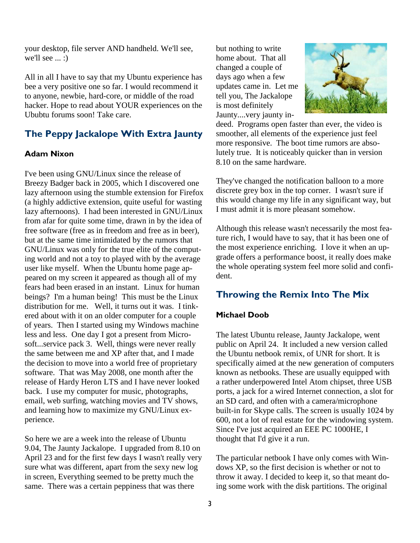your desktop, file server AND handheld. We'll see, we'll see  $\ldots$  :)

All in all I have to say that my Ubuntu experience has bee a very positive one so far. I would recommend it to anyone, newbie, hard-core, or middle of the road hacker. Hope to read about YOUR experiences on the Ububtu forums soon! Take care.

## The Peppy Jackalope With Extra Jaunty

#### Adam Nixon

I've been using GNU/Linux since the release of Breezy Badger back in 2005, which I discovered one lazy afternoon using the stumble extension for Firefox (a highly addictive extension, quite useful for wasting lazy afternoons). I had been interested in GNU/Linux from afar for quite some time, drawn in by the idea of free software (free as in freedom and free as in beer), but at the same time intimidated by the rumors that GNU/Linux was only for the true elite of the computing world and not a toy to played with by the average user like myself. When the Ubuntu home page appeared on my screen it appeared as though all of my fears had been erased in an instant. Linux for human beings? I'm a human being! This must be the Linux distribution for me. Well, it turns out it was. I tinkered about with it on an older computer for a couple of years. Then I started using my Windows machine less and less. One day I got a present from Microsoft...service pack 3. Well, things were never really the same between me and XP after that, and I made the decision to move into a world free of proprietary software. That was May 2008, one month after the release of Hardy Heron LTS and I have never looked back. I use my computer for music, photographs, email, web surfing, watching movies and TV shows, and learning how to maximize my GNU/Linux experience.

So here we are a week into the release of Ubuntu 9.04, The Jaunty Jackalope. I upgraded from 8.10 on April 23 and for the first few days I wasn't really very sure what was different, apart from the sexy new log in screen, Everything seemed to be pretty much the same. There was a certain peppiness that was there

but nothing to write home about. That all changed a couple of days ago when a few updates came in. Let me tell you, The Jackalope is most definitely Jaunty....very jaunty in-



deed. Programs open faster than ever, the video is smoother, all elements of the experience just feel more responsive. The boot time rumors are absolutely true. It is noticeably quicker than in version 8.10 on the same hardware.

They've changed the notification balloon to a more discrete grey box in the top corner. I wasn't sure if this would change my life in any significant way, but I must admit it is more pleasant somehow.

Although this release wasn't necessarily the most feature rich, I would have to say, that it has been one of the most experience enriching. I love it when an upgrade offers a performance boost, it really does make the whole operating system feel more solid and confident.

## Throwing the Remix Into The Mix

#### Michael Doob

The latest Ubuntu release, Jaunty Jackalope, went public on April 24. It included a new version called the Ubuntu netbook remix, of UNR for short. It is specifically aimed at the new generation of computers known as netbooks. These are usually equipped with a rather underpowered Intel Atom chipset, three USB ports, a jack for a wired Internet connection, a slot for an SD card, and often with a camera/microphone built-in for Skype calls. The screen is usually 1024 by 600, not a lot of real estate for the windowing system. Since I've just acquired an EEE PC 1000HE, I thought that I'd give it a run.

The particular netbook I have only comes with Windows XP, so the first decision is whether or not to throw it away. I decided to keep it, so that meant doing some work with the disk partitions. The original